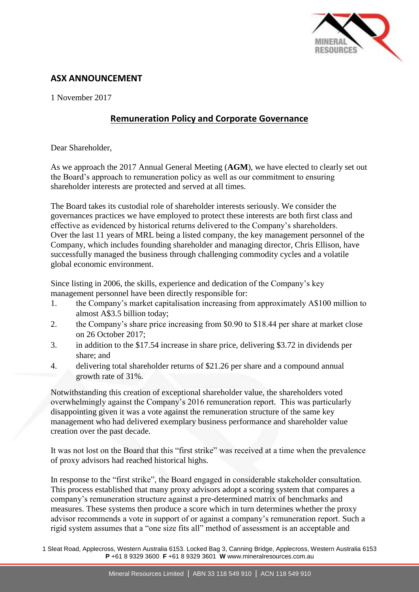

# **ASX ANNOUNCEMENT**

1 November 2017

# **Remuneration Policy and Corporate Governance**

Dear Shareholder,

As we approach the 2017 Annual General Meeting (**AGM**), we have elected to clearly set out the Board's approach to remuneration policy as well as our commitment to ensuring shareholder interests are protected and served at all times.

The Board takes its custodial role of shareholder interests seriously. We consider the governances practices we have employed to protect these interests are both first class and effective as evidenced by historical returns delivered to the Company's shareholders. Over the last 11 years of MRL being a listed company, the key management personnel of the Company, which includes founding shareholder and managing director, Chris Ellison, have successfully managed the business through challenging commodity cycles and a volatile global economic environment.

Since listing in 2006, the skills, experience and dedication of the Company's key management personnel have been directly responsible for:

- 1. the Company's market capitalisation increasing from approximately A\$100 million to almost A\$3.5 billion today;
- 2. the Company's share price increasing from \$0.90 to \$18.44 per share at market close on 26 October 2017;
- 3. in addition to the \$17.54 increase in share price, delivering \$3.72 in dividends per share; and
- 4. delivering total shareholder returns of \$21.26 per share and a compound annual growth rate of 31%.

Notwithstanding this creation of exceptional shareholder value, the shareholders voted overwhelmingly against the Company's 2016 remuneration report. This was particularly disappointing given it was a vote against the remuneration structure of the same key management who had delivered exemplary business performance and shareholder value creation over the past decade.

It was not lost on the Board that this "first strike" was received at a time when the prevalence of proxy advisors had reached historical highs.

In response to the "first strike", the Board engaged in considerable stakeholder consultation. This process established that many proxy advisors adopt a scoring system that compares a company's remuneration structure against a pre-determined matrix of benchmarks and measures. These systems then produce a score which in turn determines whether the proxy advisor recommends a vote in support of or against a company's remuneration report. Such a rigid system assumes that a "one size fits all" method of assessment is an acceptable and

1 Sleat Road, Applecross, Western Australia 6153. Locked Bag 3, Canning Bridge, Applecross, Western Australia 6153 **P** +61 8 9329 3600 **F** +61 8 9329 3601 **W** www.mineralresources.com.au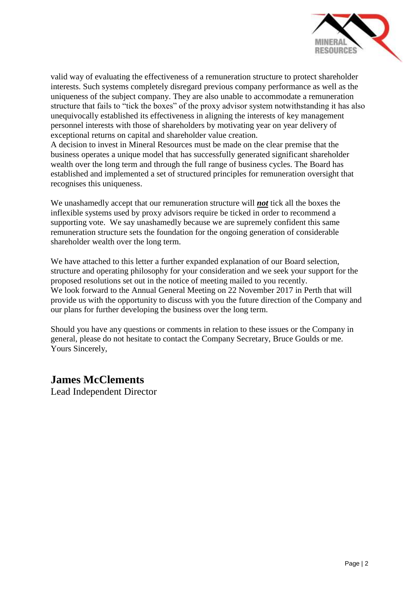

valid way of evaluating the effectiveness of a remuneration structure to protect shareholder interests. Such systems completely disregard previous company performance as well as the uniqueness of the subject company. They are also unable to accommodate a remuneration structure that fails to "tick the boxes" of the proxy advisor system notwithstanding it has also unequivocally established its effectiveness in aligning the interests of key management personnel interests with those of shareholders by motivating year on year delivery of exceptional returns on capital and shareholder value creation.

A decision to invest in Mineral Resources must be made on the clear premise that the business operates a unique model that has successfully generated significant shareholder wealth over the long term and through the full range of business cycles. The Board has established and implemented a set of structured principles for remuneration oversight that recognises this uniqueness.

We unashamedly accept that our remuneration structure will *not* tick all the boxes the inflexible systems used by proxy advisors require be ticked in order to recommend a supporting vote. We say unashamedly because we are supremely confident this same remuneration structure sets the foundation for the ongoing generation of considerable shareholder wealth over the long term.

We have attached to this letter a further expanded explanation of our Board selection, structure and operating philosophy for your consideration and we seek your support for the proposed resolutions set out in the notice of meeting mailed to you recently. We look forward to the Annual General Meeting on 22 November 2017 in Perth that will provide us with the opportunity to discuss with you the future direction of the Company and our plans for further developing the business over the long term.

Should you have any questions or comments in relation to these issues or the Company in general, please do not hesitate to contact the Company Secretary, Bruce Goulds or me. Yours Sincerely,

# **James McClements**

Lead Independent Director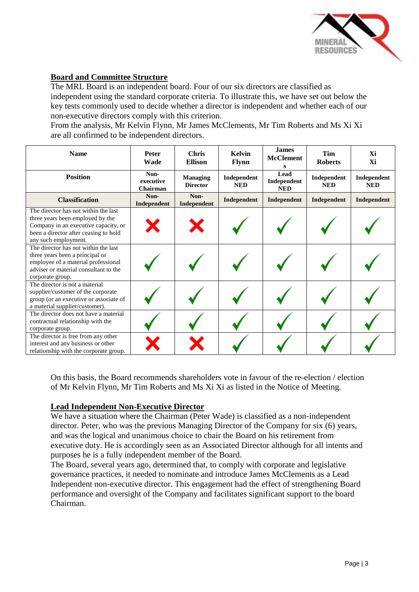

# **Board and Committee Structure**

The MRL Board is an independent board. Four of our six directors are classified as independent using the standard corporate criteria. To illustrate this, we have set out below the key tests commonly used to decide whether a director is independent and whether each of our non-executive directors comply with this criterion.

From the analysis, Mr Kelvin Flynn, Mr James McClements, Mr Tim Roberts and Ms Xi Xi are all confirmed to be independent directors.

| <b>Name</b>                                                                                                                                                                       | <b>Peter</b><br>Wade          | <b>Chris</b><br><b>Ellison</b>     | <b>Kelvin</b><br><b>Flynn</b> | <b>James</b><br><b>McClement</b><br>s | Tim<br><b>Roberts</b>     | Xi<br>Xi                  |
|-----------------------------------------------------------------------------------------------------------------------------------------------------------------------------------|-------------------------------|------------------------------------|-------------------------------|---------------------------------------|---------------------------|---------------------------|
| <b>Position</b>                                                                                                                                                                   | Non-<br>executive<br>Chairman | <b>Managing</b><br><b>Director</b> | Independent<br><b>NED</b>     | Lead<br>Independent<br><b>NED</b>     | Independent<br><b>NED</b> | Independent<br><b>NED</b> |
| <b>Classification</b>                                                                                                                                                             | Non-<br>Independent           | Non-<br>Independent                | Independent                   | Independent                           | Independent               | Independent               |
| The director has not within the last<br>three years been employed by the<br>Company in an executive capacity, or<br>been a director after ceasing to hold<br>any such employment. |                               |                                    |                               |                                       |                           |                           |
| The director has not within the last<br>three years been a principal or<br>employee of a material professional<br>adviser or material consultant to the<br>corporate group.       |                               |                                    |                               |                                       |                           |                           |
| The director is not a material<br>supplier/customer of the corporate<br>group (or an executive or associate of<br>a material supplier/customer).                                  |                               |                                    |                               |                                       |                           |                           |
| The director does not have a material<br>contractual relationship with the<br>corporate group.                                                                                    |                               |                                    |                               |                                       |                           |                           |
| The director is free from any other<br>interest and any business or other<br>relationship with the corporate group.                                                               |                               |                                    |                               |                                       |                           |                           |

On this basis, the Board recommends shareholders vote in favour of the re-election / election of Mr Kelvin Flynn, Mr Tim Roberts and Ms Xi Xi as listed in the Notice of Meeting.

#### **Lead Independent Non-Executive Director**

We have a situation where the Chairman (Peter Wade) is classified as a non-independent director. Peter, who was the previous Managing Director of the Company for six (6) years, and was the logical and unanimous choice to chair the Board on his retirement from executive duty. He is accordingly seen as an Associated Director although for all intents and purposes he is a fully independent member of the Board.

The Board, several years ago, determined that, to comply with corporate and legislative governance practices, it needed to nominate and introduce James McClements as a Lead Independent non-executive director. This engagement had the effect of strengthening Board performance and oversight of the Company and facilitates significant support to the board Chairman.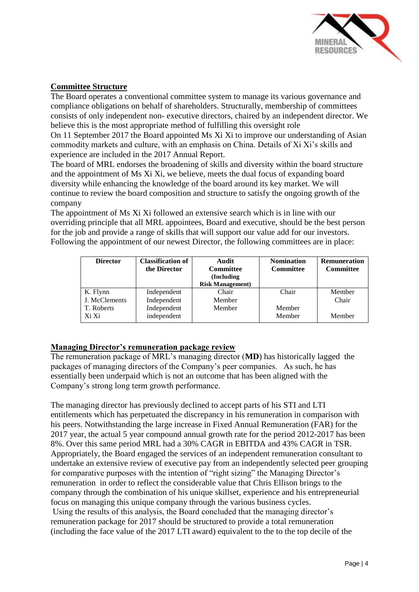

#### **Committee Structure**

The Board operates a conventional committee system to manage its various governance and compliance obligations on behalf of shareholders. Structurally, membership of committees consists of only independent non- executive directors, chaired by an independent director. We believe this is the most appropriate method of fulfilling this oversight role On 11 September 2017 the Board appointed Ms Xi Xi to improve our understanding of Asian commodity markets and culture, with an emphasis on China. Details of Xi Xi's skills and

experience are included in the 2017 Annual Report.

The board of MRL endorses the broadening of skills and diversity within the board structure and the appointment of Ms Xi Xi, we believe, meets the dual focus of expanding board diversity while enhancing the knowledge of the board around its key market. We will continue to review the board composition and structure to satisfy the ongoing growth of the company

The appointment of Ms Xi Xi followed an extensive search which is in line with our overriding principle that all MRL appointees, Board and executive, should be the best person for the job and provide a range of skills that will support our value add for our investors. Following the appointment of our newest Director, the following committees are in place:

| <b>Director</b> | <b>Classification of</b><br>the Director | Audit<br><b>Committee</b><br>(Including)<br><b>Risk Management</b> ) | <b>Nomination</b><br><b>Committee</b> | <b>Remuneration</b><br><b>Committee</b> |
|-----------------|------------------------------------------|----------------------------------------------------------------------|---------------------------------------|-----------------------------------------|
| K. Flynn        | Independent                              | Chair                                                                | Chair                                 | Member                                  |
| J. McClements   | Independent                              | Member                                                               |                                       | Chair                                   |
| T. Roberts      | Independent                              | Member                                                               | Member                                |                                         |
| Xi Xi           | independent                              |                                                                      | Member                                | Member                                  |

# **Managing Director's remuneration package review**

The remuneration package of MRL's managing director (**MD**) has historically lagged the packages of managing directors of the Company's peer companies. As such, he has essentially been underpaid which is not an outcome that has been aligned with the Company's strong long term growth performance.

The managing director has previously declined to accept parts of his STI and LTI entitlements which has perpetuated the discrepancy in his remuneration in comparison with his peers. Notwithstanding the large increase in Fixed Annual Remuneration (FAR) for the 2017 year, the actual 5 year compound annual growth rate for the period 2012-2017 has been 8%. Over this same period MRL had a 30% CAGR in EBITDA and 43% CAGR in TSR. Appropriately, the Board engaged the services of an independent remuneration consultant to undertake an extensive review of executive pay from an independently selected peer grouping for comparative purposes with the intention of "right sizing" the Managing Director's remuneration in order to reflect the considerable value that Chris Ellison brings to the company through the combination of his unique skillset, experience and his entrepreneurial focus on managing this unique company through the various business cycles.

Using the results of this analysis, the Board concluded that the managing director's remuneration package for 2017 should be structured to provide a total remuneration (including the face value of the 2017 LTI award) equivalent to the to the top decile of the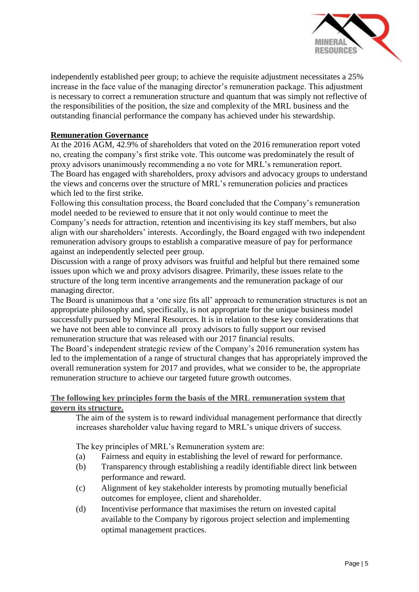

independently established peer group; to achieve the requisite adjustment necessitates a 25% increase in the face value of the managing director's remuneration package. This adjustment is necessary to correct a remuneration structure and quantum that was simply not reflective of the responsibilities of the position, the size and complexity of the MRL business and the outstanding financial performance the company has achieved under his stewardship.

# **Remuneration Governance**

At the 2016 AGM, 42.9% of shareholders that voted on the 2016 remuneration report voted no, creating the company's first strike vote. This outcome was predominately the result of proxy advisors unanimously recommending a no vote for MRL's remuneration report. The Board has engaged with shareholders, proxy advisors and advocacy groups to understand the views and concerns over the structure of MRL's remuneration policies and practices which led to the first strike.

Following this consultation process, the Board concluded that the Company's remuneration model needed to be reviewed to ensure that it not only would continue to meet the Company's needs for attraction, retention and incentivising its key staff members, but also align with our shareholders' interests. Accordingly, the Board engaged with two independent remuneration advisory groups to establish a comparative measure of pay for performance against an independently selected peer group.

Discussion with a range of proxy advisors was fruitful and helpful but there remained some issues upon which we and proxy advisors disagree. Primarily, these issues relate to the structure of the long term incentive arrangements and the remuneration package of our managing director.

The Board is unanimous that a 'one size fits all' approach to remuneration structures is not an appropriate philosophy and, specifically, is not appropriate for the unique business model successfully pursued by Mineral Resources. It is in relation to these key considerations that we have not been able to convince all proxy advisors to fully support our revised remuneration structure that was released with our 2017 financial results.

The Board's independent strategic review of the Company's 2016 remuneration system has led to the implementation of a range of structural changes that has appropriately improved the overall remuneration system for 2017 and provides, what we consider to be, the appropriate remuneration structure to achieve our targeted future growth outcomes.

## **The following key principles form the basis of the MRL remuneration system that govern its structure.**

The aim of the system is to reward individual management performance that directly increases shareholder value having regard to MRL's unique drivers of success.

The key principles of MRL's Remuneration system are:

- (a) Fairness and equity in establishing the level of reward for performance.
- (b) Transparency through establishing a readily identifiable direct link between performance and reward.
- (c) Alignment of key stakeholder interests by promoting mutually beneficial outcomes for employee, client and shareholder.
- (d) Incentivise performance that maximises the return on invested capital available to the Company by rigorous project selection and implementing optimal management practices.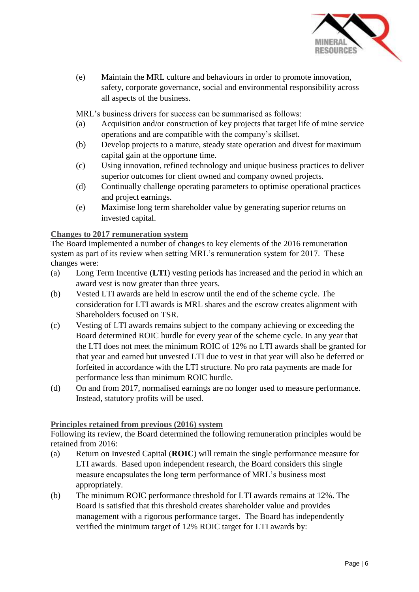

(e) Maintain the MRL culture and behaviours in order to promote innovation, safety, corporate governance, social and environmental responsibility across all aspects of the business.

MRL's business drivers for success can be summarised as follows:

- (a) Acquisition and/or construction of key projects that target life of mine service operations and are compatible with the company's skillset.
- (b) Develop projects to a mature, steady state operation and divest for maximum capital gain at the opportune time.
- (c) Using innovation, refined technology and unique business practices to deliver superior outcomes for client owned and company owned projects.
- (d) Continually challenge operating parameters to optimise operational practices and project earnings.
- (e) Maximise long term shareholder value by generating superior returns on invested capital.

## **Changes to 2017 remuneration system**

The Board implemented a number of changes to key elements of the 2016 remuneration system as part of its review when setting MRL's remuneration system for 2017. These changes were:

- (a) Long Term Incentive (**LTI**) vesting periods has increased and the period in which an award vest is now greater than three years.
- (b) Vested LTI awards are held in escrow until the end of the scheme cycle. The consideration for LTI awards is MRL shares and the escrow creates alignment with Shareholders focused on TSR.
- (c) Vesting of LTI awards remains subject to the company achieving or exceeding the Board determined ROIC hurdle for every year of the scheme cycle. In any year that the LTI does not meet the minimum ROIC of 12% no LTI awards shall be granted for that year and earned but unvested LTI due to vest in that year will also be deferred or forfeited in accordance with the LTI structure. No pro rata payments are made for performance less than minimum ROIC hurdle.
- (d) On and from 2017, normalised earnings are no longer used to measure performance. Instead, statutory profits will be used.

#### **Principles retained from previous (2016) system**

Following its review, the Board determined the following remuneration principles would be retained from 2016:

- (a) Return on Invested Capital (**ROIC**) will remain the single performance measure for LTI awards. Based upon independent research, the Board considers this single measure encapsulates the long term performance of MRL's business most appropriately.
- (b) The minimum ROIC performance threshold for LTI awards remains at 12%. The Board is satisfied that this threshold creates shareholder value and provides management with a rigorous performance target. The Board has independently verified the minimum target of 12% ROIC target for LTI awards by: